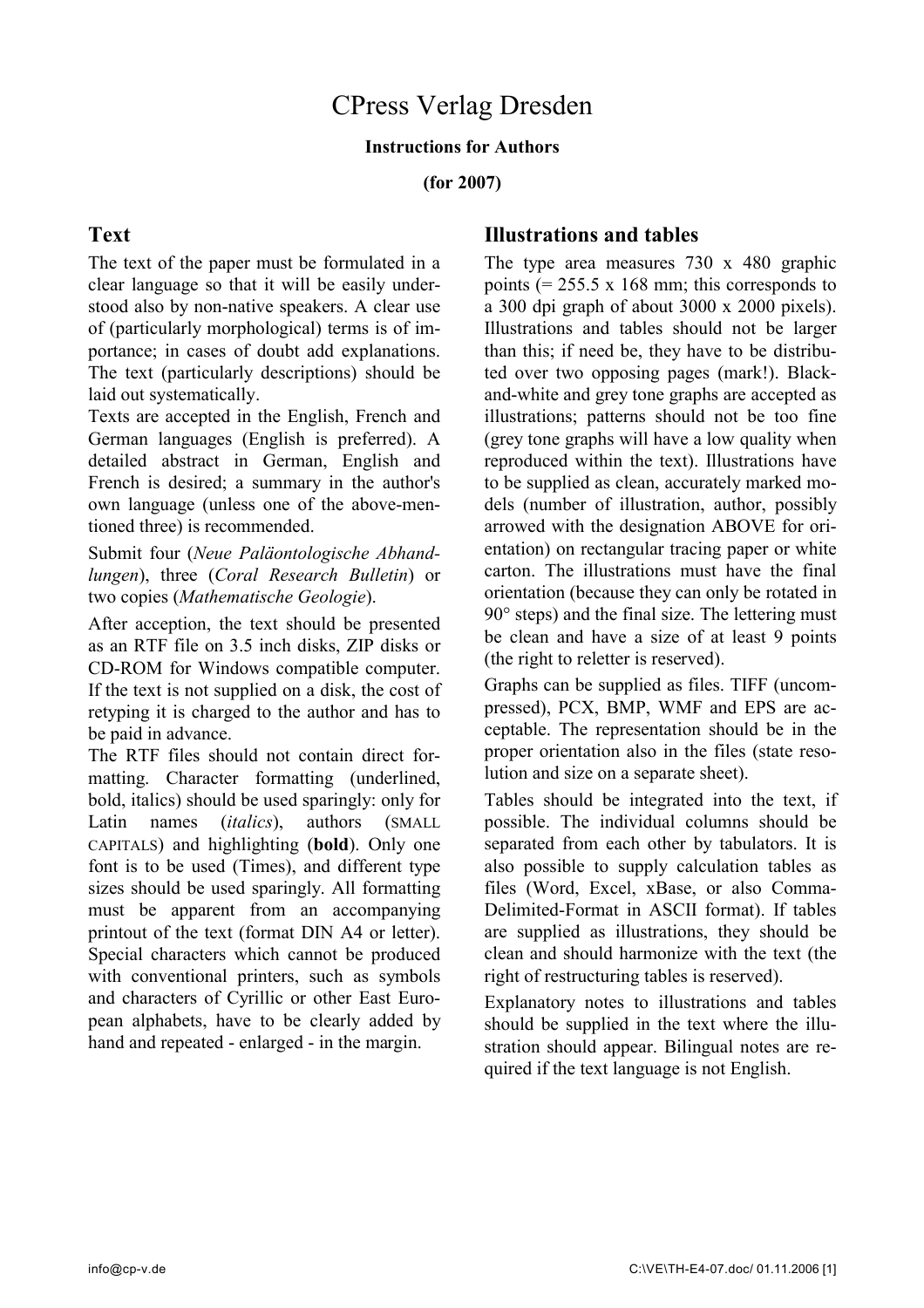#### **Instructions for Authors**

**(for 2007)**

### **Text**

The text of the paper must be formulated in a clear language so that it will be easily understood also by non-native speakers. A clear use of (particularly morphological) terms is of importance; in cases of doubt add explanations. The text (particularly descriptions) should be laid out systematically.

Texts are accepted in the English, French and German languages (English is preferred). A detailed abstract in German, English and French is desired; a summary in the author's own language (unless one of the above-mentioned three) is recommended.

Submit four (*Neue Paläontologische Abhandlungen*), three (*Coral Research Bulletin*) or two copies (*Mathematische Geologie*).

After acception, the text should be presented as an RTF file on 3.5 inch disks, ZIP disks or CD-ROM for Windows compatible computer. If the text is not supplied on a disk, the cost of retyping it is charged to the author and has to be paid in advance.

The RTF files should not contain direct formatting. Character formatting (underlined, bold, italics) should be used sparingly: only for Latin names (*italics*), authors (SMALL CAPITALS) and highlighting (**bold**). Only one font is to be used (Times), and different type sizes should be used sparingly. All formatting must be apparent from an accompanying printout of the text (format DIN A4 or letter). Special characters which cannot be produced with conventional printers, such as symbols and characters of Cyrillic or other East European alphabets, have to be clearly added by hand and repeated - enlarged - in the margin.

### **Illustrations and tables**

The type area measures 730 x 480 graphic points  $(= 255.5 \times 168 \text{ mm})$ ; this corresponds to a 300 dpi graph of about 3000 x 2000 pixels). Illustrations and tables should not be larger than this; if need be, they have to be distributed over two opposing pages (mark!). Blackand-white and grey tone graphs are accepted as illustrations; patterns should not be too fine (grey tone graphs will have a low quality when reproduced within the text). Illustrations have to be supplied as clean, accurately marked models (number of illustration, author, possibly arrowed with the designation ABOVE for orientation) on rectangular tracing paper or white carton. The illustrations must have the final orientation (because they can only be rotated in 90° steps) and the final size. The lettering must be clean and have a size of at least 9 points (the right to reletter is reserved).

Graphs can be supplied as files. TIFF (uncompressed), PCX, BMP, WMF and EPS are acceptable. The representation should be in the proper orientation also in the files (state resolution and size on a separate sheet).

Tables should be integrated into the text, if possible. The individual columns should be separated from each other by tabulators. It is also possible to supply calculation tables as files (Word, Excel, xBase, or also Comma-Delimited-Format in ASCII format). If tables are supplied as illustrations, they should be clean and should harmonize with the text (the right of restructuring tables is reserved).

Explanatory notes to illustrations and tables should be supplied in the text where the illustration should appear. Bilingual notes are required if the text language is not English.